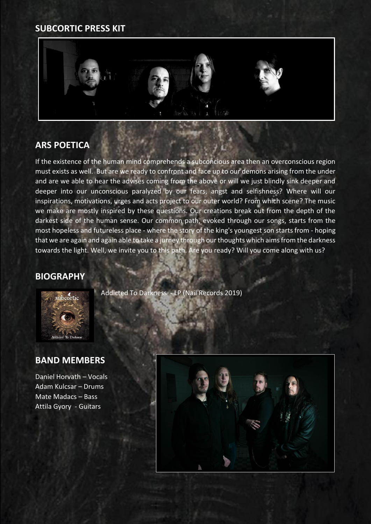## **SUBCORTIC PRESS KIT**



## **ARS POETICA**

If the existence of the human mind comprehends a subconcious area then an overconscious region must exists as well. But are we ready to confront and face up to our demons arising from the under and are we able to hear the advises coming from the above or will we just blindly sink deeper and deeper into our unconscious paralyzed by our fears, angst and selfishness? Where will our inspirations, motivations, urges and acts project to our outer world? From which scene? The music we make are mostly inspired by these questions. Our creations break out from the depth of the darkest side of the human sense. Our common path, evoked through our songs, starts from the most hopeless and futureless place - where the story of the king's youngest son starts from - hoping that we are again and again able to take a jurney through our thoughts which aims from the darkness towards the light. Well, we invite you to this path. Are you ready? Will you come along with us?

#### **BIOGRAPHY**



## **BAND MEMBERS**

Daniel Horvath – Vocals Adam Kulcsar – Drums Mate Madacs – Bass Attila Gyory - Guitars

Addicted To Darkness - LP (Nail Records 2019)

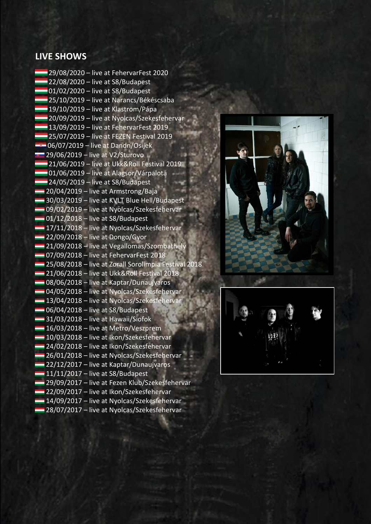#### **LIVE SHOWS**

29/08/2020 – live at FehervarFest 2020  $-22/08/2020 -$  live at S8/Budapest  $\Box$ 01/02/2020 – live at S8/Budapest 25/10/2019 – live at Narancs/Békéscsaba 19/10/2019 – live at Klastrom/Pápa <sup>20</sup>/09/2019 – live at Nyolcas/Szekesfehervar  $-13/09/2019$  – live at FehervarFest 2019  $-$  25/07/2019 – live at FEZEN Festival 2019  $\equiv 06/07/2019$  – live at Dandn/Osijek  $\approx$  29/06/2019 – live at V2/Sturovo **21/06/2019 – live at Ukk&Roll Festival 2019** <sup>1</sup>01/06/2019 – live at Alagsor/Várpalota  $24/05/2019$  – live at S8/Budapest  $-20/04/2019$  – live at Armstrong/Baja 30/03/2019 – live at KVLT Blue Hell/Budapest 09/02/2019 – live at Nyolcas/Szekesfehervar  $-01/12/2018$  – live at S8/Budapest  $-17/11/2018$  – live at Nyolcas/Szekesfehervar  $-22/09/2018 -$  live at Dongo/Gyor **21/09/2018** – live at Vegallomas/Szombathely **107/09/2018 – live at FehervarFest 2018** 25/08/2018 – live at Zorall Sorolimpia Festival 2018 **21/06/2018** – live at Ukk&Roll Festival 2018 08/06/2018 – live at Kaptar/Dunaujvaros 04/05/2018 – live at Nyolcas/Szekesfehervar 13/04/2018 – live at Nyolcas/Szekesfehervar  $\Box$  06/04/2018 – live at S8/Budapest  $-31/03/2018$  – live at Hawaii/Siofok  $-16/03/2018$  – live at Metro/Veszprem 10/03/2018 – live at Ikon/Szekesfehervar **24/02/2018 – live at Ikon/Szekesfehervar 26/01/2018 – live at Nyolcas/Szekesfehervar 22/12/2017** – live at Kaptar/Dunaujvaros  $-11/11/2017$  – live at S8/Budapest 29/09/2017 – live at Fezen Klub/Szekesfehervar **22/09/2017** – live at Ikon/Szekesfehervar 14/09/2017 – live at Nyolcas/Szekesfehervar **28/07/2017 – live at Nyolcas/Szekesfehervar**